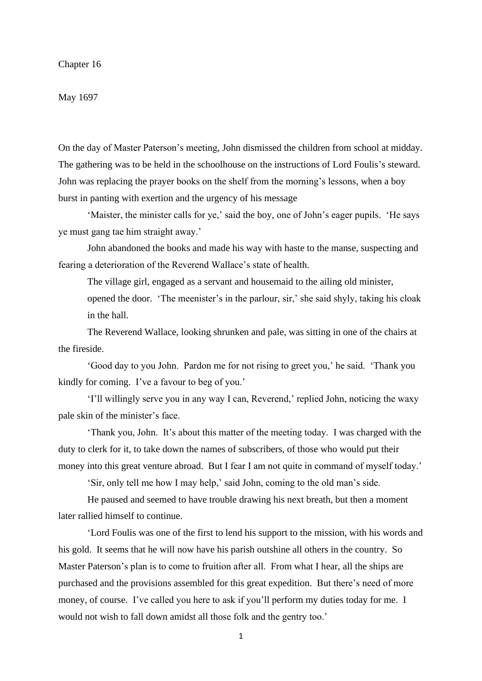#### Chapter 16

#### May 1697

On the day of Master Paterson's meeting, John dismissed the children from school at midday. The gathering was to be held in the schoolhouse on the instructions of Lord Foulis's steward. John was replacing the prayer books on the shelf from the morning's lessons, when a boy burst in panting with exertion and the urgency of his message

'Maister, the minister calls for ye,' said the boy, one of John's eager pupils. 'He says ye must gang tae him straight away.'

John abandoned the books and made his way with haste to the manse, suspecting and fearing a deterioration of the Reverend Wallace's state of health.

The village girl, engaged as a servant and housemaid to the ailing old minister, opened the door. 'The meenister's in the parlour, sir,' she said shyly, taking his cloak in the hall.

The Reverend Wallace, looking shrunken and pale, was sitting in one of the chairs at the fireside.

'Good day to you John. Pardon me for not rising to greet you,' he said. 'Thank you kindly for coming. I've a favour to beg of you.'

'I'll willingly serve you in any way I can, Reverend,' replied John, noticing the waxy pale skin of the minister's face.

'Thank you, John. It's about this matter of the meeting today. I was charged with the duty to clerk for it, to take down the names of subscribers, of those who would put their money into this great venture abroad. But I fear I am not quite in command of myself today.'

'Sir, only tell me how I may help,' said John, coming to the old man's side.

He paused and seemed to have trouble drawing his next breath, but then a moment later rallied himself to continue.

'Lord Foulis was one of the first to lend his support to the mission, with his words and his gold. It seems that he will now have his parish outshine all others in the country. So Master Paterson's plan is to come to fruition after all. From what I hear, all the ships are purchased and the provisions assembled for this great expedition. But there's need of more money, of course. I've called you here to ask if you'll perform my duties today for me. I would not wish to fall down amidst all those folk and the gentry too.'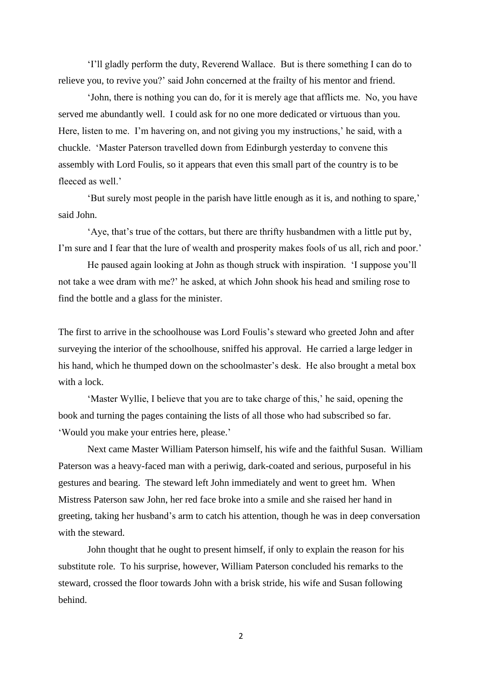'I'll gladly perform the duty, Reverend Wallace. But is there something I can do to relieve you, to revive you?' said John concerned at the frailty of his mentor and friend.

'John, there is nothing you can do, for it is merely age that afflicts me. No, you have served me abundantly well. I could ask for no one more dedicated or virtuous than you. Here, listen to me. I'm havering on, and not giving you my instructions,' he said, with a chuckle. 'Master Paterson travelled down from Edinburgh yesterday to convene this assembly with Lord Foulis, so it appears that even this small part of the country is to be fleeced as well.'

'But surely most people in the parish have little enough as it is, and nothing to spare,' said John.

'Aye, that's true of the cottars, but there are thrifty husbandmen with a little put by, I'm sure and I fear that the lure of wealth and prosperity makes fools of us all, rich and poor.'

He paused again looking at John as though struck with inspiration. 'I suppose you'll not take a wee dram with me?' he asked, at which John shook his head and smiling rose to find the bottle and a glass for the minister.

The first to arrive in the schoolhouse was Lord Foulis's steward who greeted John and after surveying the interior of the schoolhouse, sniffed his approval. He carried a large ledger in his hand, which he thumped down on the schoolmaster's desk. He also brought a metal box with a lock.

'Master Wyllie, I believe that you are to take charge of this,' he said, opening the book and turning the pages containing the lists of all those who had subscribed so far. 'Would you make your entries here, please.'

Next came Master William Paterson himself, his wife and the faithful Susan. William Paterson was a heavy-faced man with a periwig, dark-coated and serious, purposeful in his gestures and bearing. The steward left John immediately and went to greet hm. When Mistress Paterson saw John, her red face broke into a smile and she raised her hand in greeting, taking her husband's arm to catch his attention, though he was in deep conversation with the steward.

John thought that he ought to present himself, if only to explain the reason for his substitute role. To his surprise, however, William Paterson concluded his remarks to the steward, crossed the floor towards John with a brisk stride, his wife and Susan following behind.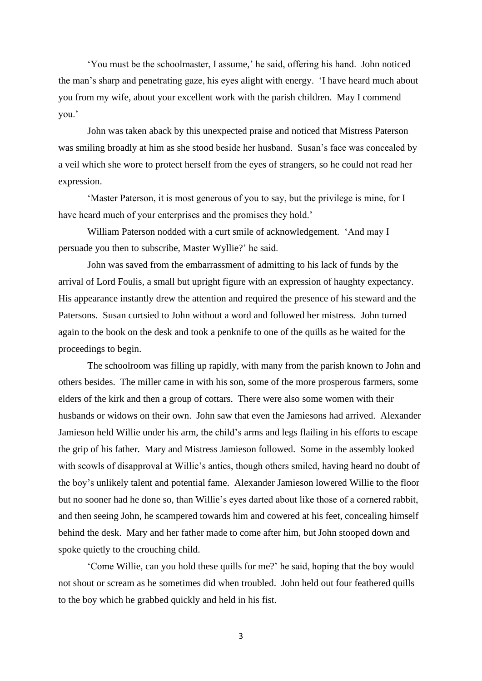'You must be the schoolmaster, I assume,' he said, offering his hand. John noticed the man's sharp and penetrating gaze, his eyes alight with energy. 'I have heard much about you from my wife, about your excellent work with the parish children. May I commend you.'

John was taken aback by this unexpected praise and noticed that Mistress Paterson was smiling broadly at him as she stood beside her husband. Susan's face was concealed by a veil which she wore to protect herself from the eyes of strangers, so he could not read her expression.

'Master Paterson, it is most generous of you to say, but the privilege is mine, for I have heard much of your enterprises and the promises they hold.'

William Paterson nodded with a curt smile of acknowledgement. 'And may I persuade you then to subscribe, Master Wyllie?' he said.

John was saved from the embarrassment of admitting to his lack of funds by the arrival of Lord Foulis, a small but upright figure with an expression of haughty expectancy. His appearance instantly drew the attention and required the presence of his steward and the Patersons. Susan curtsied to John without a word and followed her mistress. John turned again to the book on the desk and took a penknife to one of the quills as he waited for the proceedings to begin.

The schoolroom was filling up rapidly, with many from the parish known to John and others besides. The miller came in with his son, some of the more prosperous farmers, some elders of the kirk and then a group of cottars. There were also some women with their husbands or widows on their own. John saw that even the Jamiesons had arrived. Alexander Jamieson held Willie under his arm, the child's arms and legs flailing in his efforts to escape the grip of his father. Mary and Mistress Jamieson followed. Some in the assembly looked with scowls of disapproval at Willie's antics, though others smiled, having heard no doubt of the boy's unlikely talent and potential fame. Alexander Jamieson lowered Willie to the floor but no sooner had he done so, than Willie's eyes darted about like those of a cornered rabbit, and then seeing John, he scampered towards him and cowered at his feet, concealing himself behind the desk. Mary and her father made to come after him, but John stooped down and spoke quietly to the crouching child.

'Come Willie, can you hold these quills for me?' he said, hoping that the boy would not shout or scream as he sometimes did when troubled. John held out four feathered quills to the boy which he grabbed quickly and held in his fist.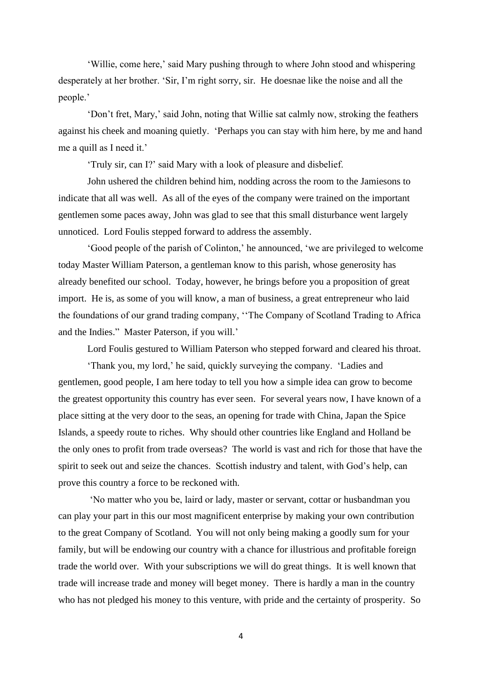'Willie, come here,' said Mary pushing through to where John stood and whispering desperately at her brother. 'Sir, I'm right sorry, sir. He doesnae like the noise and all the people.'

'Don't fret, Mary,' said John, noting that Willie sat calmly now, stroking the feathers against his cheek and moaning quietly. 'Perhaps you can stay with him here, by me and hand me a quill as I need it.'

'Truly sir, can I?' said Mary with a look of pleasure and disbelief.

John ushered the children behind him, nodding across the room to the Jamiesons to indicate that all was well. As all of the eyes of the company were trained on the important gentlemen some paces away, John was glad to see that this small disturbance went largely unnoticed. Lord Foulis stepped forward to address the assembly.

'Good people of the parish of Colinton,' he announced, 'we are privileged to welcome today Master William Paterson, a gentleman know to this parish, whose generosity has already benefited our school. Today, however, he brings before you a proposition of great import. He is, as some of you will know, a man of business, a great entrepreneur who laid the foundations of our grand trading company, ''The Company of Scotland Trading to Africa and the Indies." Master Paterson, if you will.'

Lord Foulis gestured to William Paterson who stepped forward and cleared his throat.

'Thank you, my lord,' he said, quickly surveying the company. 'Ladies and gentlemen, good people, I am here today to tell you how a simple idea can grow to become the greatest opportunity this country has ever seen. For several years now, I have known of a place sitting at the very door to the seas, an opening for trade with China, Japan the Spice Islands, a speedy route to riches. Why should other countries like England and Holland be the only ones to profit from trade overseas? The world is vast and rich for those that have the spirit to seek out and seize the chances. Scottish industry and talent, with God's help, can prove this country a force to be reckoned with.

'No matter who you be, laird or lady, master or servant, cottar or husbandman you can play your part in this our most magnificent enterprise by making your own contribution to the great Company of Scotland. You will not only being making a goodly sum for your family, but will be endowing our country with a chance for illustrious and profitable foreign trade the world over. With your subscriptions we will do great things. It is well known that trade will increase trade and money will beget money. There is hardly a man in the country who has not pledged his money to this venture, with pride and the certainty of prosperity. So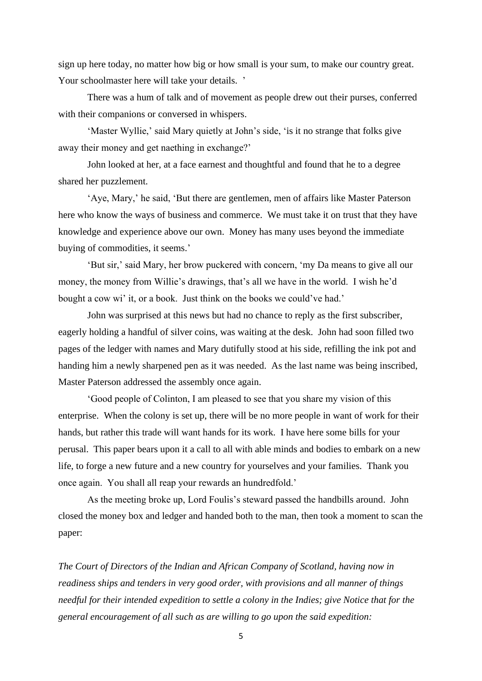sign up here today, no matter how big or how small is your sum, to make our country great. Your schoolmaster here will take your details. '

There was a hum of talk and of movement as people drew out their purses, conferred with their companions or conversed in whispers.

'Master Wyllie,' said Mary quietly at John's side, 'is it no strange that folks give away their money and get naething in exchange?'

John looked at her, at a face earnest and thoughtful and found that he to a degree shared her puzzlement.

'Aye, Mary,' he said, 'But there are gentlemen, men of affairs like Master Paterson here who know the ways of business and commerce. We must take it on trust that they have knowledge and experience above our own. Money has many uses beyond the immediate buying of commodities, it seems.'

'But sir,' said Mary, her brow puckered with concern, 'my Da means to give all our money, the money from Willie's drawings, that's all we have in the world. I wish he'd bought a cow wi' it, or a book. Just think on the books we could've had.'

John was surprised at this news but had no chance to reply as the first subscriber, eagerly holding a handful of silver coins, was waiting at the desk. John had soon filled two pages of the ledger with names and Mary dutifully stood at his side, refilling the ink pot and handing him a newly sharpened pen as it was needed. As the last name was being inscribed, Master Paterson addressed the assembly once again.

'Good people of Colinton, I am pleased to see that you share my vision of this enterprise. When the colony is set up, there will be no more people in want of work for their hands, but rather this trade will want hands for its work. I have here some bills for your perusal. This paper bears upon it a call to all with able minds and bodies to embark on a new life, to forge a new future and a new country for yourselves and your families. Thank you once again. You shall all reap your rewards an hundredfold.'

As the meeting broke up, Lord Foulis's steward passed the handbills around. John closed the money box and ledger and handed both to the man, then took a moment to scan the paper:

*The Court of Directors of the Indian and African Company of Scotland, having now in readiness ships and tenders in very good order, with provisions and all manner of things needful for their intended expedition to settle a colony in the Indies; give Notice that for the general encouragement of all such as are willing to go upon the said expedition:*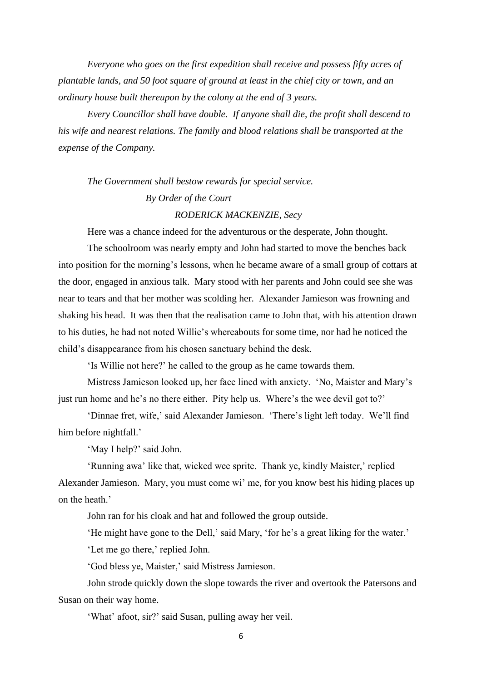*Everyone who goes on the first expedition shall receive and possess fifty acres of plantable lands, and 50 foot square of ground at least in the chief city or town, and an ordinary house built thereupon by the colony at the end of 3 years.*

*Every Councillor shall have double. If anyone shall die, the profit shall descend to his wife and nearest relations. The family and blood relations shall be transported at the expense of the Company.*

# *The Government shall bestow rewards for special service. By Order of the Court*

## *RODERICK MACKENZIE, Secy*

Here was a chance indeed for the adventurous or the desperate, John thought.

The schoolroom was nearly empty and John had started to move the benches back into position for the morning's lessons, when he became aware of a small group of cottars at the door, engaged in anxious talk. Mary stood with her parents and John could see she was near to tears and that her mother was scolding her. Alexander Jamieson was frowning and shaking his head. It was then that the realisation came to John that, with his attention drawn to his duties, he had not noted Willie's whereabouts for some time, nor had he noticed the child's disappearance from his chosen sanctuary behind the desk.

'Is Willie not here?' he called to the group as he came towards them.

Mistress Jamieson looked up, her face lined with anxiety. 'No, Maister and Mary's just run home and he's no there either. Pity help us. Where's the wee devil got to?'

'Dinnae fret, wife,' said Alexander Jamieson. 'There's light left today. We'll find him before nightfall.'

'May I help?' said John.

'Running awa' like that, wicked wee sprite. Thank ye, kindly Maister,' replied Alexander Jamieson. Mary, you must come wi' me, for you know best his hiding places up on the heath.'

John ran for his cloak and hat and followed the group outside.

'He might have gone to the Dell,' said Mary, 'for he's a great liking for the water.'

'Let me go there,' replied John.

'God bless ye, Maister,' said Mistress Jamieson.

John strode quickly down the slope towards the river and overtook the Patersons and Susan on their way home.

'What' afoot, sir?' said Susan, pulling away her veil.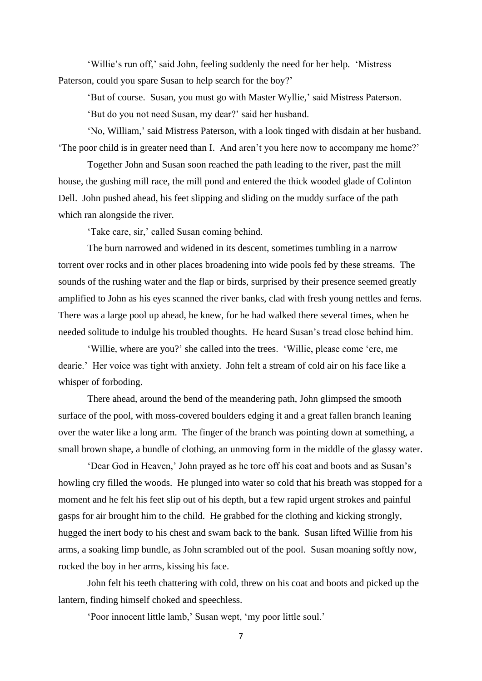'Willie's run off,' said John, feeling suddenly the need for her help. 'Mistress Paterson, could you spare Susan to help search for the boy?'

'But of course. Susan, you must go with Master Wyllie,' said Mistress Paterson.

'But do you not need Susan, my dear?' said her husband.

'No, William,' said Mistress Paterson, with a look tinged with disdain at her husband. 'The poor child is in greater need than I. And aren't you here now to accompany me home?'

Together John and Susan soon reached the path leading to the river, past the mill house, the gushing mill race, the mill pond and entered the thick wooded glade of Colinton Dell. John pushed ahead, his feet slipping and sliding on the muddy surface of the path which ran alongside the river.

'Take care, sir,' called Susan coming behind.

The burn narrowed and widened in its descent, sometimes tumbling in a narrow torrent over rocks and in other places broadening into wide pools fed by these streams. The sounds of the rushing water and the flap or birds, surprised by their presence seemed greatly amplified to John as his eyes scanned the river banks, clad with fresh young nettles and ferns. There was a large pool up ahead, he knew, for he had walked there several times, when he needed solitude to indulge his troubled thoughts. He heard Susan's tread close behind him.

'Willie, where are you?' she called into the trees. 'Willie, please come 'ere, me dearie.' Her voice was tight with anxiety. John felt a stream of cold air on his face like a whisper of forboding.

There ahead, around the bend of the meandering path, John glimpsed the smooth surface of the pool, with moss-covered boulders edging it and a great fallen branch leaning over the water like a long arm. The finger of the branch was pointing down at something, a small brown shape, a bundle of clothing, an unmoving form in the middle of the glassy water.

'Dear God in Heaven,' John prayed as he tore off his coat and boots and as Susan's howling cry filled the woods. He plunged into water so cold that his breath was stopped for a moment and he felt his feet slip out of his depth, but a few rapid urgent strokes and painful gasps for air brought him to the child. He grabbed for the clothing and kicking strongly, hugged the inert body to his chest and swam back to the bank. Susan lifted Willie from his arms, a soaking limp bundle, as John scrambled out of the pool. Susan moaning softly now, rocked the boy in her arms, kissing his face.

John felt his teeth chattering with cold, threw on his coat and boots and picked up the lantern, finding himself choked and speechless.

'Poor innocent little lamb,' Susan wept, 'my poor little soul.'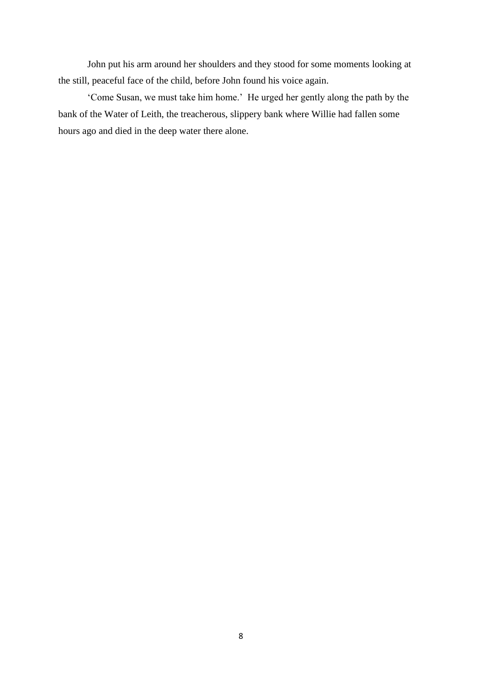John put his arm around her shoulders and they stood for some moments looking at the still, peaceful face of the child, before John found his voice again.

'Come Susan, we must take him home.' He urged her gently along the path by the bank of the Water of Leith, the treacherous, slippery bank where Willie had fallen some hours ago and died in the deep water there alone.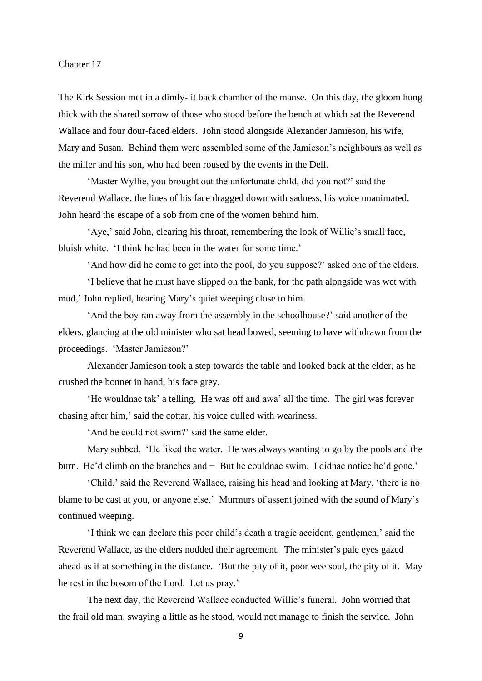#### Chapter 17

The Kirk Session met in a dimly-lit back chamber of the manse. On this day, the gloom hung thick with the shared sorrow of those who stood before the bench at which sat the Reverend Wallace and four dour-faced elders. John stood alongside Alexander Jamieson, his wife, Mary and Susan. Behind them were assembled some of the Jamieson's neighbours as well as the miller and his son, who had been roused by the events in the Dell.

'Master Wyllie, you brought out the unfortunate child, did you not?' said the Reverend Wallace, the lines of his face dragged down with sadness, his voice unanimated. John heard the escape of a sob from one of the women behind him.

'Aye,' said John, clearing his throat, remembering the look of Willie's small face, bluish white. 'I think he had been in the water for some time.'

'And how did he come to get into the pool, do you suppose?' asked one of the elders.

'I believe that he must have slipped on the bank, for the path alongside was wet with mud,' John replied, hearing Mary's quiet weeping close to him.

'And the boy ran away from the assembly in the schoolhouse?' said another of the elders, glancing at the old minister who sat head bowed, seeming to have withdrawn from the proceedings. 'Master Jamieson?'

Alexander Jamieson took a step towards the table and looked back at the elder, as he crushed the bonnet in hand, his face grey.

'He wouldnae tak' a telling. He was off and awa' all the time. The girl was forever chasing after him,' said the cottar, his voice dulled with weariness.

'And he could not swim?' said the same elder.

Mary sobbed. 'He liked the water. He was always wanting to go by the pools and the burn. He'd climb on the branches and − But he couldnae swim. I didnae notice he'd gone.'

'Child,' said the Reverend Wallace, raising his head and looking at Mary, 'there is no blame to be cast at you, or anyone else.' Murmurs of assent joined with the sound of Mary's continued weeping.

'I think we can declare this poor child's death a tragic accident, gentlemen,' said the Reverend Wallace, as the elders nodded their agreement. The minister's pale eyes gazed ahead as if at something in the distance. 'But the pity of it, poor wee soul, the pity of it. May he rest in the bosom of the Lord. Let us pray.'

The next day, the Reverend Wallace conducted Willie's funeral. John worried that the frail old man, swaying a little as he stood, would not manage to finish the service. John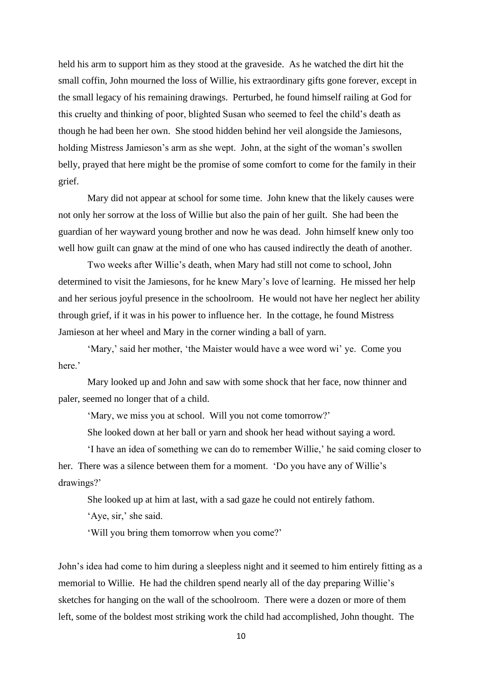held his arm to support him as they stood at the graveside. As he watched the dirt hit the small coffin, John mourned the loss of Willie, his extraordinary gifts gone forever, except in the small legacy of his remaining drawings. Perturbed, he found himself railing at God for this cruelty and thinking of poor, blighted Susan who seemed to feel the child's death as though he had been her own. She stood hidden behind her veil alongside the Jamiesons, holding Mistress Jamieson's arm as she wept. John, at the sight of the woman's swollen belly, prayed that here might be the promise of some comfort to come for the family in their grief.

Mary did not appear at school for some time. John knew that the likely causes were not only her sorrow at the loss of Willie but also the pain of her guilt. She had been the guardian of her wayward young brother and now he was dead. John himself knew only too well how guilt can gnaw at the mind of one who has caused indirectly the death of another.

Two weeks after Willie's death, when Mary had still not come to school, John determined to visit the Jamiesons, for he knew Mary's love of learning. He missed her help and her serious joyful presence in the schoolroom. He would not have her neglect her ability through grief, if it was in his power to influence her. In the cottage, he found Mistress Jamieson at her wheel and Mary in the corner winding a ball of yarn.

'Mary,' said her mother, 'the Maister would have a wee word wi' ye. Come you here.'

Mary looked up and John and saw with some shock that her face, now thinner and paler, seemed no longer that of a child.

'Mary, we miss you at school. Will you not come tomorrow?'

She looked down at her ball or yarn and shook her head without saying a word.

'I have an idea of something we can do to remember Willie,' he said coming closer to her. There was a silence between them for a moment. 'Do you have any of Willie's drawings?'

She looked up at him at last, with a sad gaze he could not entirely fathom.

'Aye, sir,' she said.

'Will you bring them tomorrow when you come?'

John's idea had come to him during a sleepless night and it seemed to him entirely fitting as a memorial to Willie. He had the children spend nearly all of the day preparing Willie's sketches for hanging on the wall of the schoolroom. There were a dozen or more of them left, some of the boldest most striking work the child had accomplished, John thought. The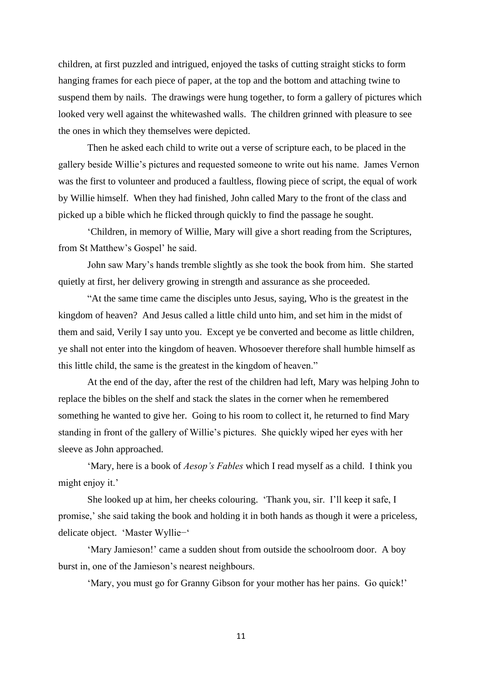children, at first puzzled and intrigued, enjoyed the tasks of cutting straight sticks to form hanging frames for each piece of paper, at the top and the bottom and attaching twine to suspend them by nails. The drawings were hung together, to form a gallery of pictures which looked very well against the whitewashed walls. The children grinned with pleasure to see the ones in which they themselves were depicted.

Then he asked each child to write out a verse of scripture each, to be placed in the gallery beside Willie's pictures and requested someone to write out his name. James Vernon was the first to volunteer and produced a faultless, flowing piece of script, the equal of work by Willie himself. When they had finished, John called Mary to the front of the class and picked up a bible which he flicked through quickly to find the passage he sought.

'Children, in memory of Willie, Mary will give a short reading from the Scriptures, from St Matthew's Gospel' he said.

John saw Mary's hands tremble slightly as she took the book from him. She started quietly at first, her delivery growing in strength and assurance as she proceeded.

"At the same time came the disciples unto Jesus, saying, Who is the greatest in the kingdom of heaven? And Jesus called a little child unto him, and set him in the midst of them and said, Verily I say unto you. Except ye be converted and become as little children, ye shall not enter into the kingdom of heaven. Whosoever therefore shall humble himself as this little child, the same is the greatest in the kingdom of heaven."

At the end of the day, after the rest of the children had left, Mary was helping John to replace the bibles on the shelf and stack the slates in the corner when he remembered something he wanted to give her. Going to his room to collect it, he returned to find Mary standing in front of the gallery of Willie's pictures. She quickly wiped her eyes with her sleeve as John approached.

'Mary, here is a book of *Aesop's Fables* which I read myself as a child. I think you might enjoy it.'

She looked up at him, her cheeks colouring. 'Thank you, sir. I'll keep it safe, I promise,' she said taking the book and holding it in both hands as though it were a priceless, delicate object. 'Master Wyllie−'

'Mary Jamieson!' came a sudden shout from outside the schoolroom door. A boy burst in, one of the Jamieson's nearest neighbours.

'Mary, you must go for Granny Gibson for your mother has her pains. Go quick!'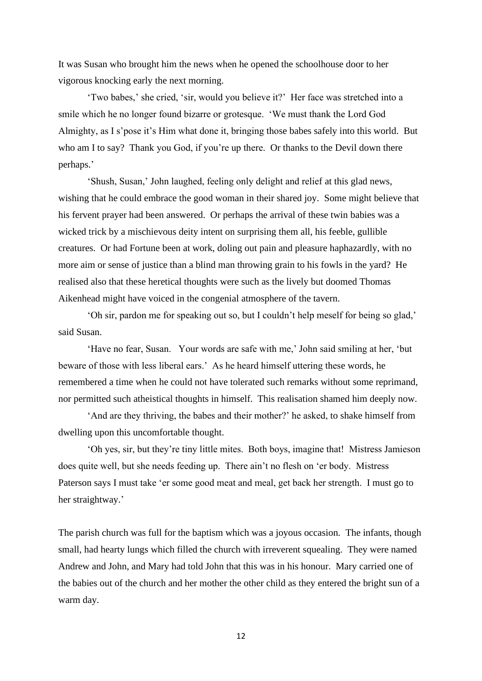It was Susan who brought him the news when he opened the schoolhouse door to her vigorous knocking early the next morning.

'Two babes,' she cried, 'sir, would you believe it?' Her face was stretched into a smile which he no longer found bizarre or grotesque. 'We must thank the Lord God Almighty, as I s'pose it's Him what done it, bringing those babes safely into this world. But who am I to say? Thank you God, if you're up there. Or thanks to the Devil down there perhaps.'

'Shush, Susan,' John laughed, feeling only delight and relief at this glad news, wishing that he could embrace the good woman in their shared joy. Some might believe that his fervent prayer had been answered. Or perhaps the arrival of these twin babies was a wicked trick by a mischievous deity intent on surprising them all, his feeble, gullible creatures. Or had Fortune been at work, doling out pain and pleasure haphazardly, with no more aim or sense of justice than a blind man throwing grain to his fowls in the yard? He realised also that these heretical thoughts were such as the lively but doomed Thomas Aikenhead might have voiced in the congenial atmosphere of the tavern.

'Oh sir, pardon me for speaking out so, but I couldn't help meself for being so glad,' said Susan.

'Have no fear, Susan. Your words are safe with me,' John said smiling at her, 'but beware of those with less liberal ears.' As he heard himself uttering these words, he remembered a time when he could not have tolerated such remarks without some reprimand, nor permitted such atheistical thoughts in himself. This realisation shamed him deeply now.

'And are they thriving, the babes and their mother?' he asked, to shake himself from dwelling upon this uncomfortable thought.

'Oh yes, sir, but they're tiny little mites. Both boys, imagine that! Mistress Jamieson does quite well, but she needs feeding up. There ain't no flesh on 'er body. Mistress Paterson says I must take 'er some good meat and meal, get back her strength. I must go to her straightway.'

The parish church was full for the baptism which was a joyous occasion. The infants, though small, had hearty lungs which filled the church with irreverent squealing. They were named Andrew and John, and Mary had told John that this was in his honour. Mary carried one of the babies out of the church and her mother the other child as they entered the bright sun of a warm day.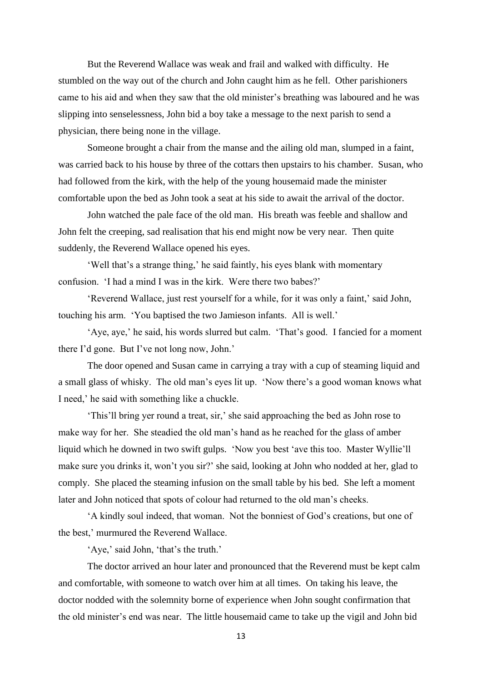But the Reverend Wallace was weak and frail and walked with difficulty. He stumbled on the way out of the church and John caught him as he fell. Other parishioners came to his aid and when they saw that the old minister's breathing was laboured and he was slipping into senselessness, John bid a boy take a message to the next parish to send a physician, there being none in the village.

Someone brought a chair from the manse and the ailing old man, slumped in a faint, was carried back to his house by three of the cottars then upstairs to his chamber. Susan, who had followed from the kirk, with the help of the young housemaid made the minister comfortable upon the bed as John took a seat at his side to await the arrival of the doctor.

John watched the pale face of the old man. His breath was feeble and shallow and John felt the creeping, sad realisation that his end might now be very near. Then quite suddenly, the Reverend Wallace opened his eyes.

'Well that's a strange thing,' he said faintly, his eyes blank with momentary confusion. 'I had a mind I was in the kirk. Were there two babes?'

'Reverend Wallace, just rest yourself for a while, for it was only a faint,' said John, touching his arm. 'You baptised the two Jamieson infants. All is well.'

'Aye, aye,' he said, his words slurred but calm. 'That's good. I fancied for a moment there I'd gone. But I've not long now, John.'

The door opened and Susan came in carrying a tray with a cup of steaming liquid and a small glass of whisky. The old man's eyes lit up. 'Now there's a good woman knows what I need,' he said with something like a chuckle.

'This'll bring yer round a treat, sir,' she said approaching the bed as John rose to make way for her. She steadied the old man's hand as he reached for the glass of amber liquid which he downed in two swift gulps. 'Now you best 'ave this too. Master Wyllie'll make sure you drinks it, won't you sir?' she said, looking at John who nodded at her, glad to comply. She placed the steaming infusion on the small table by his bed. She left a moment later and John noticed that spots of colour had returned to the old man's cheeks.

'A kindly soul indeed, that woman. Not the bonniest of God's creations, but one of the best,' murmured the Reverend Wallace.

'Aye,' said John, 'that's the truth.'

The doctor arrived an hour later and pronounced that the Reverend must be kept calm and comfortable, with someone to watch over him at all times. On taking his leave, the doctor nodded with the solemnity borne of experience when John sought confirmation that the old minister's end was near. The little housemaid came to take up the vigil and John bid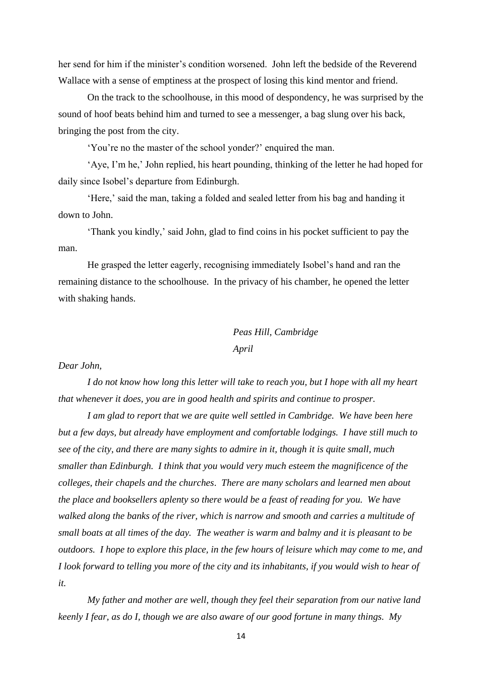her send for him if the minister's condition worsened. John left the bedside of the Reverend Wallace with a sense of emptiness at the prospect of losing this kind mentor and friend.

On the track to the schoolhouse, in this mood of despondency, he was surprised by the sound of hoof beats behind him and turned to see a messenger, a bag slung over his back, bringing the post from the city.

'You're no the master of the school yonder?' enquired the man.

'Aye, I'm he,' John replied, his heart pounding, thinking of the letter he had hoped for daily since Isobel's departure from Edinburgh.

'Here,' said the man, taking a folded and sealed letter from his bag and handing it down to John.

'Thank you kindly,' said John, glad to find coins in his pocket sufficient to pay the man.

He grasped the letter eagerly, recognising immediately Isobel's hand and ran the remaining distance to the schoolhouse. In the privacy of his chamber, he opened the letter with shaking hands.

# *Peas Hill, Cambridge April*

#### *Dear John,*

*I do not know how long this letter will take to reach you, but I hope with all my heart that whenever it does, you are in good health and spirits and continue to prosper.* 

*I am glad to report that we are quite well settled in Cambridge. We have been here but a few days, but already have employment and comfortable lodgings. I have still much to see of the city, and there are many sights to admire in it, though it is quite small, much smaller than Edinburgh. I think that you would very much esteem the magnificence of the colleges, their chapels and the churches*. *There are many scholars and learned men about the place and booksellers aplenty so there would be a feast of reading for you. We have walked along the banks of the river, which is narrow and smooth and carries a multitude of small boats at all times of the day. The weather is warm and balmy and it is pleasant to be outdoors. I hope to explore this place, in the few hours of leisure which may come to me, and I look forward to telling you more of the city and its inhabitants, if you would wish to hear of it.*

*My father and mother are well, though they feel their separation from our native land keenly I fear, as do I, though we are also aware of our good fortune in many things. My*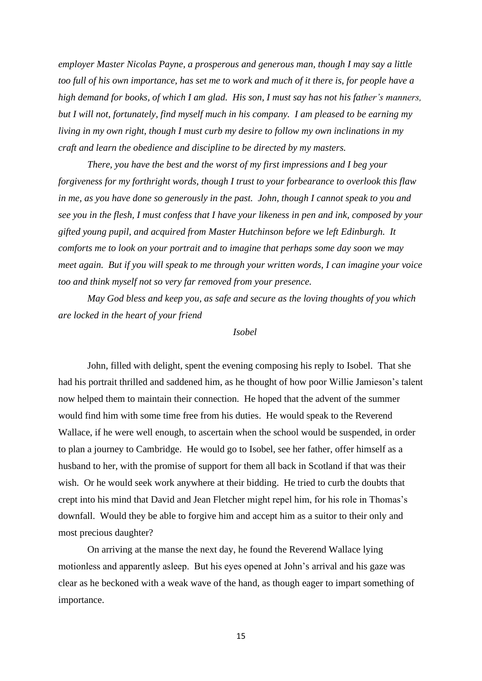*employer Master Nicolas Payne, a prosperous and generous man, though I may say a little too full of his own importance, has set me to work and much of it there is, for people have a high demand for books, of which I am glad. His son, I must say has not his father's manners, but I will not, fortunately, find myself much in his company. I am pleased to be earning my living in my own right, though I must curb my desire to follow my own inclinations in my craft and learn the obedience and discipline to be directed by my masters.*

*There, you have the best and the worst of my first impressions and I beg your forgiveness for my forthright words, though I trust to your forbearance to overlook this flaw in me, as you have done so generously in the past. John, though I cannot speak to you and see you in the flesh, I must confess that I have your likeness in pen and ink, composed by your gifted young pupil, and acquired from Master Hutchinson before we left Edinburgh. It comforts me to look on your portrait and to imagine that perhaps some day soon we may meet again. But if you will speak to me through your written words, I can imagine your voice too and think myself not so very far removed from your presence.*

*May God bless and keep you, as safe and secure as the loving thoughts of you which are locked in the heart of your friend*

### *Isobel*

John, filled with delight, spent the evening composing his reply to Isobel. That she had his portrait thrilled and saddened him, as he thought of how poor Willie Jamieson's talent now helped them to maintain their connection. He hoped that the advent of the summer would find him with some time free from his duties. He would speak to the Reverend Wallace, if he were well enough, to ascertain when the school would be suspended, in order to plan a journey to Cambridge. He would go to Isobel, see her father, offer himself as a husband to her, with the promise of support for them all back in Scotland if that was their wish. Or he would seek work anywhere at their bidding. He tried to curb the doubts that crept into his mind that David and Jean Fletcher might repel him, for his role in Thomas's downfall. Would they be able to forgive him and accept him as a suitor to their only and most precious daughter?

On arriving at the manse the next day, he found the Reverend Wallace lying motionless and apparently asleep. But his eyes opened at John's arrival and his gaze was clear as he beckoned with a weak wave of the hand, as though eager to impart something of importance.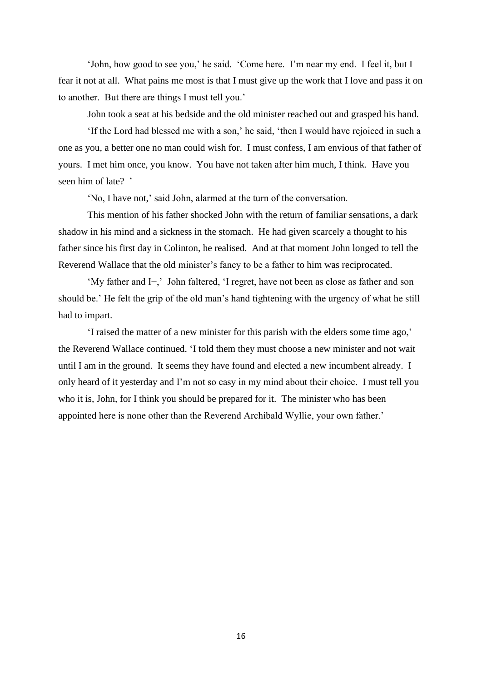'John, how good to see you,' he said. 'Come here. I'm near my end. I feel it, but I fear it not at all. What pains me most is that I must give up the work that I love and pass it on to another. But there are things I must tell you.'

John took a seat at his bedside and the old minister reached out and grasped his hand.

'If the Lord had blessed me with a son,' he said, 'then I would have rejoiced in such a one as you, a better one no man could wish for. I must confess, I am envious of that father of yours. I met him once, you know. You have not taken after him much, I think. Have you seen him of late? '

'No, I have not,' said John, alarmed at the turn of the conversation.

This mention of his father shocked John with the return of familiar sensations, a dark shadow in his mind and a sickness in the stomach. He had given scarcely a thought to his father since his first day in Colinton, he realised. And at that moment John longed to tell the Reverend Wallace that the old minister's fancy to be a father to him was reciprocated.

'My father and I−,' John faltered, 'I regret, have not been as close as father and son should be.' He felt the grip of the old man's hand tightening with the urgency of what he still had to impart.

'I raised the matter of a new minister for this parish with the elders some time ago,' the Reverend Wallace continued. 'I told them they must choose a new minister and not wait until I am in the ground. It seems they have found and elected a new incumbent already. I only heard of it yesterday and I'm not so easy in my mind about their choice. I must tell you who it is, John, for I think you should be prepared for it. The minister who has been appointed here is none other than the Reverend Archibald Wyllie, your own father.'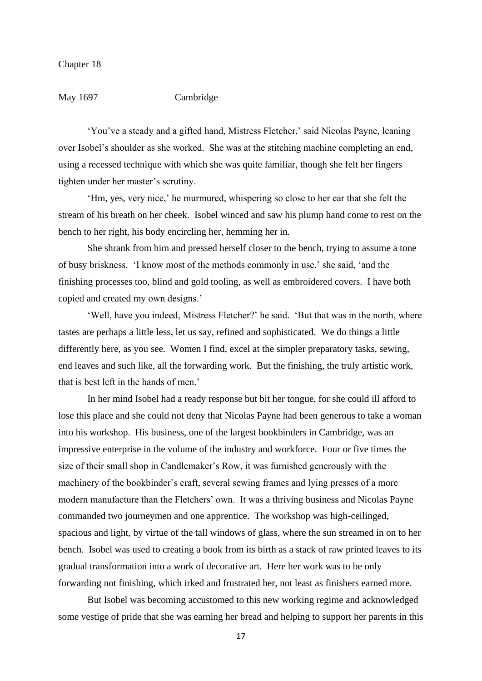May 1697 Cambridge

'You've a steady and a gifted hand, Mistress Fletcher,' said Nicolas Payne, leaning over Isobel's shoulder as she worked. She was at the stitching machine completing an end, using a recessed technique with which she was quite familiar, though she felt her fingers tighten under her master's scrutiny.

'Hm, yes, very nice,' he murmured, whispering so close to her ear that she felt the stream of his breath on her cheek. Isobel winced and saw his plump hand come to rest on the bench to her right, his body encircling her, hemming her in.

She shrank from him and pressed herself closer to the bench, trying to assume a tone of busy briskness. 'I know most of the methods commonly in use,' she said, 'and the finishing processes too, blind and gold tooling, as well as embroidered covers. I have both copied and created my own designs.'

'Well, have you indeed, Mistress Fletcher?' he said. 'But that was in the north, where tastes are perhaps a little less, let us say, refined and sophisticated. We do things a little differently here, as you see. Women I find, excel at the simpler preparatory tasks, sewing, end leaves and such like, all the forwarding work. But the finishing, the truly artistic work, that is best left in the hands of men.'

In her mind Isobel had a ready response but bit her tongue, for she could ill afford to lose this place and she could not deny that Nicolas Payne had been generous to take a woman into his workshop. His business, one of the largest bookbinders in Cambridge, was an impressive enterprise in the volume of the industry and workforce. Four or five times the size of their small shop in Candlemaker's Row, it was furnished generously with the machinery of the bookbinder's craft, several sewing frames and lying presses of a more modern manufacture than the Fletchers' own. It was a thriving business and Nicolas Payne commanded two journeymen and one apprentice. The workshop was high-ceilinged, spacious and light, by virtue of the tall windows of glass, where the sun streamed in on to her bench. Isobel was used to creating a book from its birth as a stack of raw printed leaves to its gradual transformation into a work of decorative art. Here her work was to be only forwarding not finishing, which irked and frustrated her, not least as finishers earned more.

But Isobel was becoming accustomed to this new working regime and acknowledged some vestige of pride that she was earning her bread and helping to support her parents in this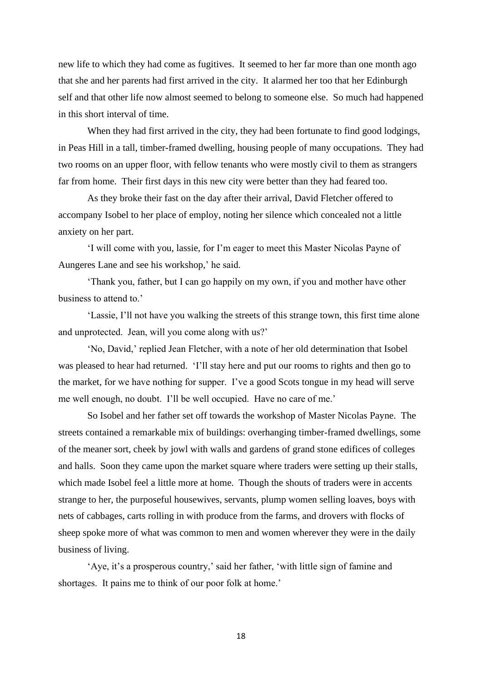new life to which they had come as fugitives. It seemed to her far more than one month ago that she and her parents had first arrived in the city. It alarmed her too that her Edinburgh self and that other life now almost seemed to belong to someone else. So much had happened in this short interval of time.

When they had first arrived in the city, they had been fortunate to find good lodgings, in Peas Hill in a tall, timber-framed dwelling, housing people of many occupations. They had two rooms on an upper floor, with fellow tenants who were mostly civil to them as strangers far from home. Their first days in this new city were better than they had feared too.

As they broke their fast on the day after their arrival, David Fletcher offered to accompany Isobel to her place of employ, noting her silence which concealed not a little anxiety on her part.

'I will come with you, lassie, for I'm eager to meet this Master Nicolas Payne of Aungeres Lane and see his workshop,' he said.

'Thank you, father, but I can go happily on my own, if you and mother have other business to attend to.'

'Lassie, I'll not have you walking the streets of this strange town, this first time alone and unprotected. Jean, will you come along with us?'

'No, David,' replied Jean Fletcher, with a note of her old determination that Isobel was pleased to hear had returned. 'I'll stay here and put our rooms to rights and then go to the market, for we have nothing for supper. I've a good Scots tongue in my head will serve me well enough, no doubt. I'll be well occupied. Have no care of me.'

So Isobel and her father set off towards the workshop of Master Nicolas Payne. The streets contained a remarkable mix of buildings: overhanging timber-framed dwellings, some of the meaner sort, cheek by jowl with walls and gardens of grand stone edifices of colleges and halls. Soon they came upon the market square where traders were setting up their stalls, which made Isobel feel a little more at home. Though the shouts of traders were in accents strange to her, the purposeful housewives, servants, plump women selling loaves, boys with nets of cabbages, carts rolling in with produce from the farms, and drovers with flocks of sheep spoke more of what was common to men and women wherever they were in the daily business of living.

'Aye, it's a prosperous country,' said her father, 'with little sign of famine and shortages. It pains me to think of our poor folk at home.'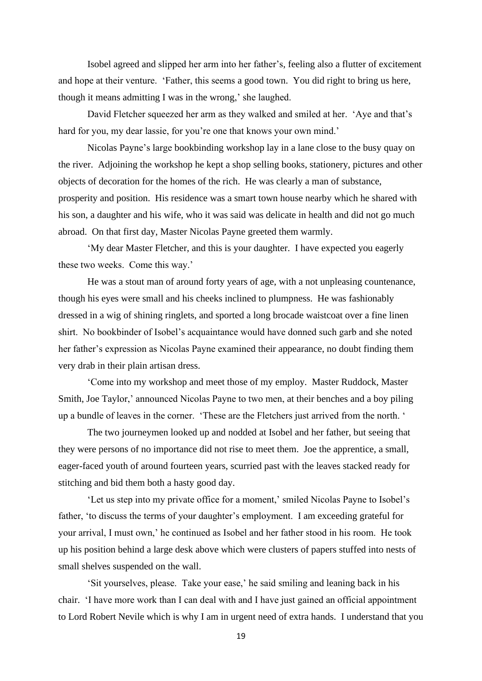Isobel agreed and slipped her arm into her father's, feeling also a flutter of excitement and hope at their venture. 'Father, this seems a good town. You did right to bring us here, though it means admitting I was in the wrong,' she laughed.

David Fletcher squeezed her arm as they walked and smiled at her. 'Aye and that's hard for you, my dear lassie, for you're one that knows your own mind.'

Nicolas Payne's large bookbinding workshop lay in a lane close to the busy quay on the river. Adjoining the workshop he kept a shop selling books, stationery, pictures and other objects of decoration for the homes of the rich. He was clearly a man of substance, prosperity and position. His residence was a smart town house nearby which he shared with his son, a daughter and his wife, who it was said was delicate in health and did not go much abroad. On that first day, Master Nicolas Payne greeted them warmly.

'My dear Master Fletcher, and this is your daughter. I have expected you eagerly these two weeks. Come this way.'

He was a stout man of around forty years of age, with a not unpleasing countenance, though his eyes were small and his cheeks inclined to plumpness. He was fashionably dressed in a wig of shining ringlets, and sported a long brocade waistcoat over a fine linen shirt. No bookbinder of Isobel's acquaintance would have donned such garb and she noted her father's expression as Nicolas Payne examined their appearance, no doubt finding them very drab in their plain artisan dress.

'Come into my workshop and meet those of my employ. Master Ruddock, Master Smith, Joe Taylor,' announced Nicolas Payne to two men, at their benches and a boy piling up a bundle of leaves in the corner. 'These are the Fletchers just arrived from the north. '

The two journeymen looked up and nodded at Isobel and her father, but seeing that they were persons of no importance did not rise to meet them. Joe the apprentice, a small, eager-faced youth of around fourteen years, scurried past with the leaves stacked ready for stitching and bid them both a hasty good day.

'Let us step into my private office for a moment,' smiled Nicolas Payne to Isobel's father, 'to discuss the terms of your daughter's employment. I am exceeding grateful for your arrival, I must own,' he continued as Isobel and her father stood in his room. He took up his position behind a large desk above which were clusters of papers stuffed into nests of small shelves suspended on the wall.

'Sit yourselves, please. Take your ease,' he said smiling and leaning back in his chair. 'I have more work than I can deal with and I have just gained an official appointment to Lord Robert Nevile which is why I am in urgent need of extra hands. I understand that you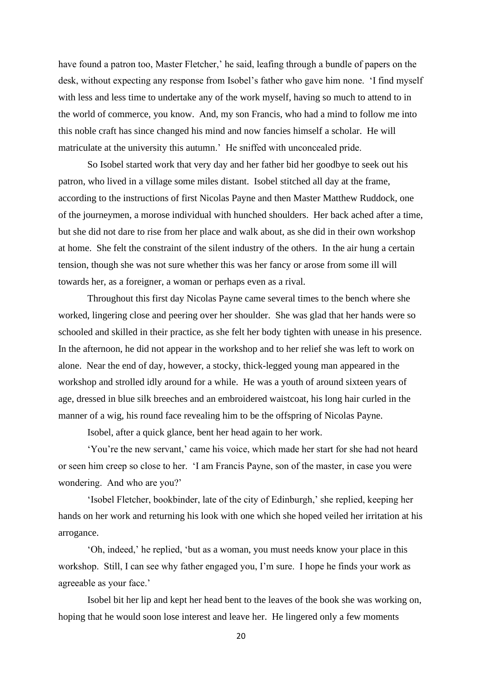have found a patron too, Master Fletcher,' he said, leafing through a bundle of papers on the desk, without expecting any response from Isobel's father who gave him none. 'I find myself with less and less time to undertake any of the work myself, having so much to attend to in the world of commerce, you know. And, my son Francis, who had a mind to follow me into this noble craft has since changed his mind and now fancies himself a scholar. He will matriculate at the university this autumn.' He sniffed with unconcealed pride.

So Isobel started work that very day and her father bid her goodbye to seek out his patron, who lived in a village some miles distant. Isobel stitched all day at the frame, according to the instructions of first Nicolas Payne and then Master Matthew Ruddock, one of the journeymen, a morose individual with hunched shoulders. Her back ached after a time, but she did not dare to rise from her place and walk about, as she did in their own workshop at home. She felt the constraint of the silent industry of the others. In the air hung a certain tension, though she was not sure whether this was her fancy or arose from some ill will towards her, as a foreigner, a woman or perhaps even as a rival.

Throughout this first day Nicolas Payne came several times to the bench where she worked, lingering close and peering over her shoulder. She was glad that her hands were so schooled and skilled in their practice, as she felt her body tighten with unease in his presence. In the afternoon, he did not appear in the workshop and to her relief she was left to work on alone. Near the end of day, however, a stocky, thick-legged young man appeared in the workshop and strolled idly around for a while. He was a youth of around sixteen years of age, dressed in blue silk breeches and an embroidered waistcoat, his long hair curled in the manner of a wig, his round face revealing him to be the offspring of Nicolas Payne.

Isobel, after a quick glance, bent her head again to her work.

'You're the new servant,' came his voice, which made her start for she had not heard or seen him creep so close to her. 'I am Francis Payne, son of the master, in case you were wondering. And who are you?'

'Isobel Fletcher, bookbinder, late of the city of Edinburgh,' she replied, keeping her hands on her work and returning his look with one which she hoped veiled her irritation at his arrogance.

'Oh, indeed,' he replied, 'but as a woman, you must needs know your place in this workshop. Still, I can see why father engaged you, I'm sure. I hope he finds your work as agreeable as your face.'

Isobel bit her lip and kept her head bent to the leaves of the book she was working on, hoping that he would soon lose interest and leave her. He lingered only a few moments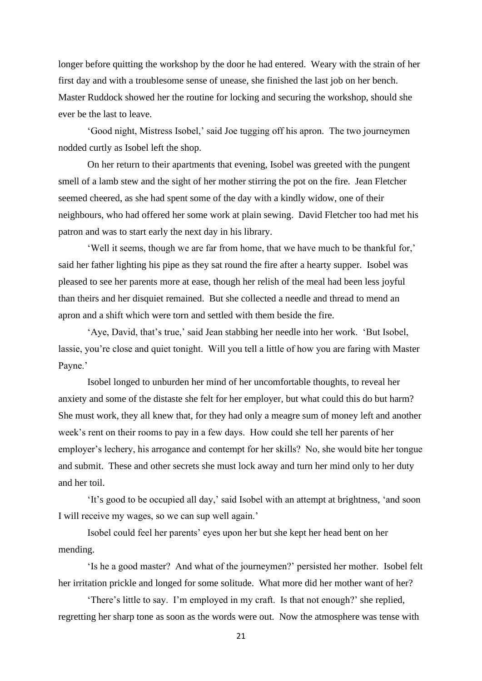longer before quitting the workshop by the door he had entered. Weary with the strain of her first day and with a troublesome sense of unease, she finished the last job on her bench. Master Ruddock showed her the routine for locking and securing the workshop, should she ever be the last to leave.

'Good night, Mistress Isobel,' said Joe tugging off his apron. The two journeymen nodded curtly as Isobel left the shop.

On her return to their apartments that evening, Isobel was greeted with the pungent smell of a lamb stew and the sight of her mother stirring the pot on the fire. Jean Fletcher seemed cheered, as she had spent some of the day with a kindly widow, one of their neighbours, who had offered her some work at plain sewing. David Fletcher too had met his patron and was to start early the next day in his library.

'Well it seems, though we are far from home, that we have much to be thankful for,' said her father lighting his pipe as they sat round the fire after a hearty supper. Isobel was pleased to see her parents more at ease, though her relish of the meal had been less joyful than theirs and her disquiet remained. But she collected a needle and thread to mend an apron and a shift which were torn and settled with them beside the fire.

'Aye, David, that's true,' said Jean stabbing her needle into her work. 'But Isobel, lassie, you're close and quiet tonight. Will you tell a little of how you are faring with Master Payne.'

Isobel longed to unburden her mind of her uncomfortable thoughts, to reveal her anxiety and some of the distaste she felt for her employer, but what could this do but harm? She must work, they all knew that, for they had only a meagre sum of money left and another week's rent on their rooms to pay in a few days. How could she tell her parents of her employer's lechery, his arrogance and contempt for her skills? No, she would bite her tongue and submit. These and other secrets she must lock away and turn her mind only to her duty and her toil.

'It's good to be occupied all day,' said Isobel with an attempt at brightness, 'and soon I will receive my wages, so we can sup well again.'

Isobel could feel her parents' eyes upon her but she kept her head bent on her mending.

'Is he a good master? And what of the journeymen?' persisted her mother. Isobel felt her irritation prickle and longed for some solitude. What more did her mother want of her?

'There's little to say. I'm employed in my craft. Is that not enough?' she replied, regretting her sharp tone as soon as the words were out. Now the atmosphere was tense with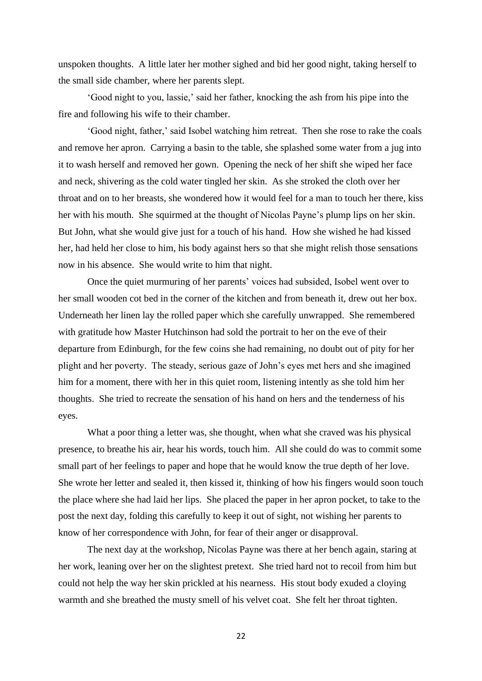unspoken thoughts. A little later her mother sighed and bid her good night, taking herself to the small side chamber, where her parents slept.

'Good night to you, lassie,' said her father, knocking the ash from his pipe into the fire and following his wife to their chamber.

'Good night, father,' said Isobel watching him retreat. Then she rose to rake the coals and remove her apron. Carrying a basin to the table, she splashed some water from a jug into it to wash herself and removed her gown. Opening the neck of her shift she wiped her face and neck, shivering as the cold water tingled her skin. As she stroked the cloth over her throat and on to her breasts, she wondered how it would feel for a man to touch her there, kiss her with his mouth. She squirmed at the thought of Nicolas Payne's plump lips on her skin. But John, what she would give just for a touch of his hand. How she wished he had kissed her, had held her close to him, his body against hers so that she might relish those sensations now in his absence. She would write to him that night.

Once the quiet murmuring of her parents' voices had subsided, Isobel went over to her small wooden cot bed in the corner of the kitchen and from beneath it, drew out her box. Underneath her linen lay the rolled paper which she carefully unwrapped. She remembered with gratitude how Master Hutchinson had sold the portrait to her on the eve of their departure from Edinburgh, for the few coins she had remaining, no doubt out of pity for her plight and her poverty. The steady, serious gaze of John's eyes met hers and she imagined him for a moment, there with her in this quiet room, listening intently as she told him her thoughts. She tried to recreate the sensation of his hand on hers and the tenderness of his eyes.

What a poor thing a letter was, she thought, when what she craved was his physical presence, to breathe his air, hear his words, touch him. All she could do was to commit some small part of her feelings to paper and hope that he would know the true depth of her love. She wrote her letter and sealed it, then kissed it, thinking of how his fingers would soon touch the place where she had laid her lips. She placed the paper in her apron pocket, to take to the post the next day, folding this carefully to keep it out of sight, not wishing her parents to know of her correspondence with John, for fear of their anger or disapproval.

The next day at the workshop, Nicolas Payne was there at her bench again, staring at her work, leaning over her on the slightest pretext. She tried hard not to recoil from him but could not help the way her skin prickled at his nearness. His stout body exuded a cloying warmth and she breathed the musty smell of his velvet coat. She felt her throat tighten.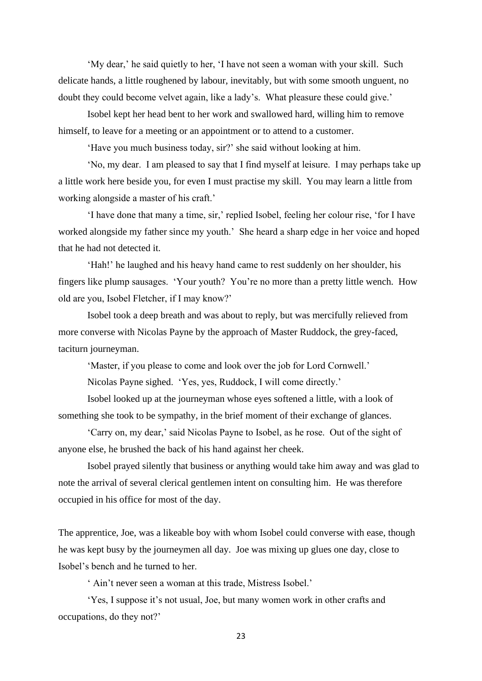'My dear,' he said quietly to her, 'I have not seen a woman with your skill. Such delicate hands, a little roughened by labour, inevitably, but with some smooth unguent, no doubt they could become velvet again, like a lady's. What pleasure these could give.'

Isobel kept her head bent to her work and swallowed hard, willing him to remove himself, to leave for a meeting or an appointment or to attend to a customer.

'Have you much business today, sir?' she said without looking at him.

'No, my dear. I am pleased to say that I find myself at leisure. I may perhaps take up a little work here beside you, for even I must practise my skill. You may learn a little from working alongside a master of his craft.'

'I have done that many a time, sir,' replied Isobel, feeling her colour rise, 'for I have worked alongside my father since my youth.' She heard a sharp edge in her voice and hoped that he had not detected it.

'Hah!' he laughed and his heavy hand came to rest suddenly on her shoulder, his fingers like plump sausages. 'Your youth? You're no more than a pretty little wench. How old are you, Isobel Fletcher, if I may know?'

Isobel took a deep breath and was about to reply, but was mercifully relieved from more converse with Nicolas Payne by the approach of Master Ruddock, the grey-faced, taciturn journeyman.

'Master, if you please to come and look over the job for Lord Cornwell.'

Nicolas Payne sighed. 'Yes, yes, Ruddock, I will come directly.'

Isobel looked up at the journeyman whose eyes softened a little, with a look of something she took to be sympathy, in the brief moment of their exchange of glances.

'Carry on, my dear,' said Nicolas Payne to Isobel, as he rose. Out of the sight of anyone else, he brushed the back of his hand against her cheek.

Isobel prayed silently that business or anything would take him away and was glad to note the arrival of several clerical gentlemen intent on consulting him. He was therefore occupied in his office for most of the day.

The apprentice, Joe, was a likeable boy with whom Isobel could converse with ease, though he was kept busy by the journeymen all day. Joe was mixing up glues one day, close to Isobel's bench and he turned to her.

' Ain't never seen a woman at this trade, Mistress Isobel.'

'Yes, I suppose it's not usual, Joe, but many women work in other crafts and occupations, do they not?'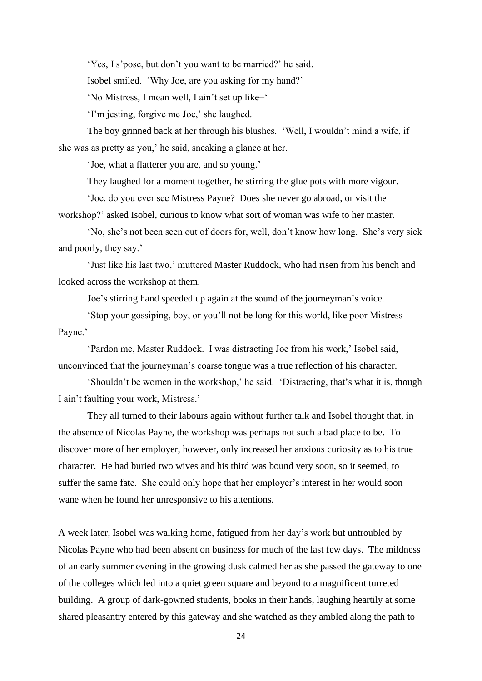'Yes, I s'pose, but don't you want to be married?' he said.

Isobel smiled. 'Why Joe, are you asking for my hand?'

'No Mistress, I mean well, I ain't set up like−'

'I'm jesting, forgive me Joe,' she laughed.

The boy grinned back at her through his blushes. 'Well, I wouldn't mind a wife, if she was as pretty as you,' he said, sneaking a glance at her.

'Joe, what a flatterer you are, and so young.'

They laughed for a moment together, he stirring the glue pots with more vigour.

'Joe, do you ever see Mistress Payne? Does she never go abroad, or visit the workshop?' asked Isobel, curious to know what sort of woman was wife to her master.

'No, she's not been seen out of doors for, well, don't know how long. She's very sick and poorly, they say.'

'Just like his last two,' muttered Master Ruddock, who had risen from his bench and looked across the workshop at them.

Joe's stirring hand speeded up again at the sound of the journeyman's voice.

'Stop your gossiping, boy, or you'll not be long for this world, like poor Mistress Payne.'

'Pardon me, Master Ruddock. I was distracting Joe from his work,' Isobel said, unconvinced that the journeyman's coarse tongue was a true reflection of his character.

'Shouldn't be women in the workshop,' he said. 'Distracting, that's what it is, though I ain't faulting your work, Mistress.'

They all turned to their labours again without further talk and Isobel thought that, in the absence of Nicolas Payne, the workshop was perhaps not such a bad place to be. To discover more of her employer, however, only increased her anxious curiosity as to his true character. He had buried two wives and his third was bound very soon, so it seemed, to suffer the same fate. She could only hope that her employer's interest in her would soon wane when he found her unresponsive to his attentions.

A week later, Isobel was walking home, fatigued from her day's work but untroubled by Nicolas Payne who had been absent on business for much of the last few days. The mildness of an early summer evening in the growing dusk calmed her as she passed the gateway to one of the colleges which led into a quiet green square and beyond to a magnificent turreted building. A group of dark-gowned students, books in their hands, laughing heartily at some shared pleasantry entered by this gateway and she watched as they ambled along the path to